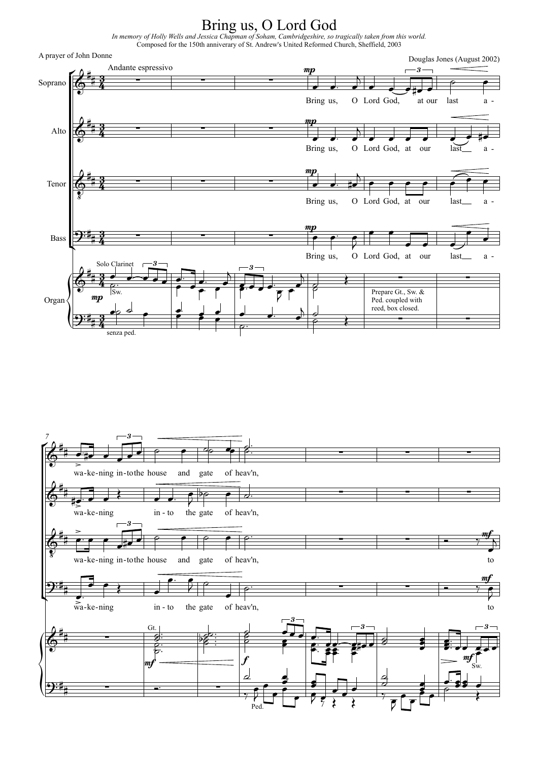In memory of Holly Wells and Jessica Chapman of Soham, Cambridgeshire, so tragically taken from this world. Composed for the 150th anniverary of St. Andrew's United Reformed Church, Sheffield, 2003



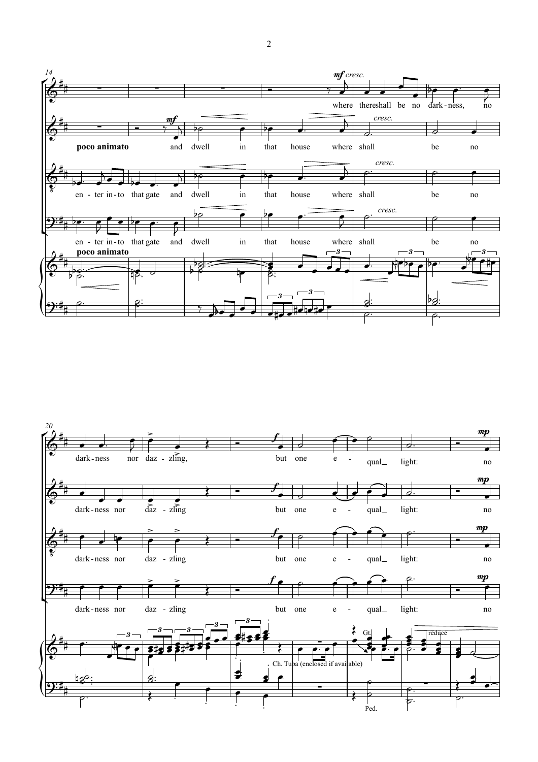

![](_page_1_Figure_1.jpeg)

 $\overline{2}$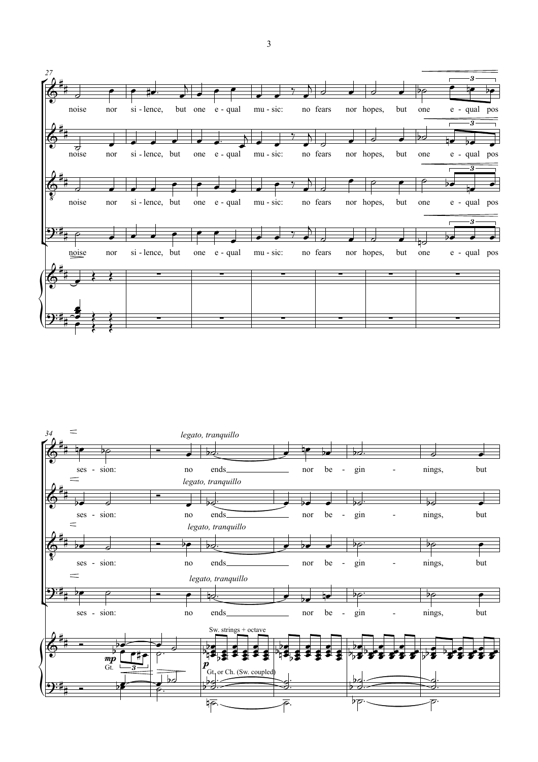![](_page_2_Figure_0.jpeg)

![](_page_2_Figure_1.jpeg)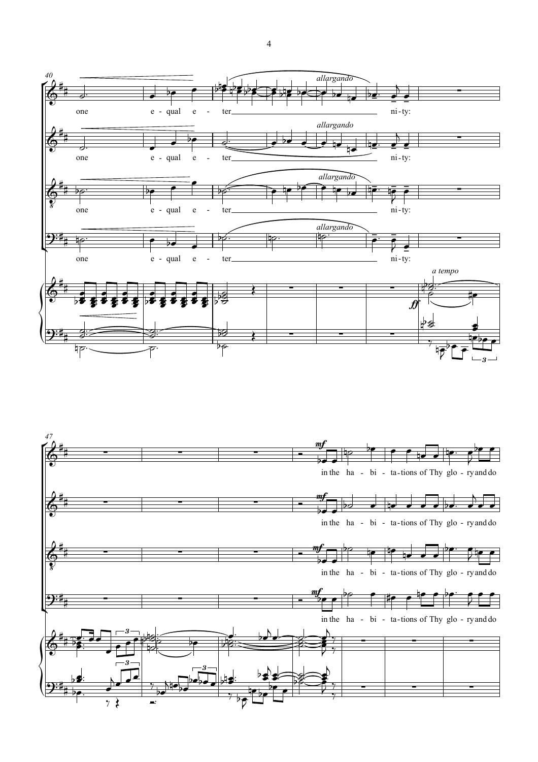![](_page_3_Figure_0.jpeg)

![](_page_3_Figure_1.jpeg)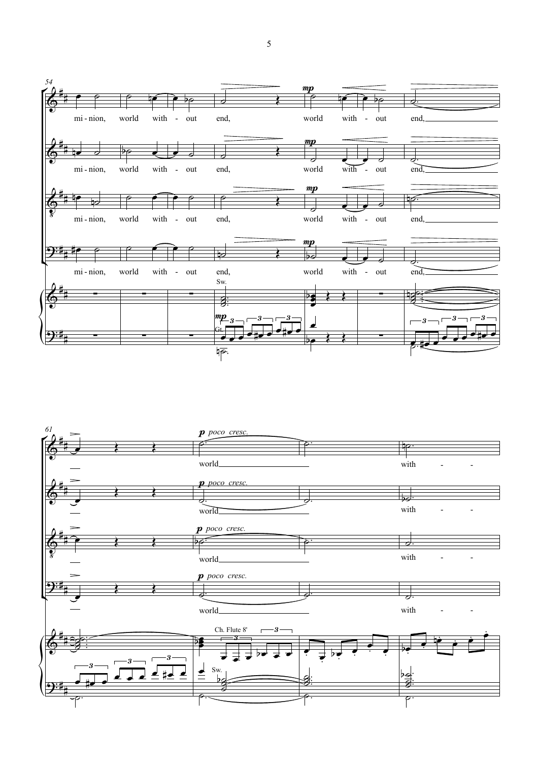![](_page_4_Figure_0.jpeg)

![](_page_4_Figure_1.jpeg)